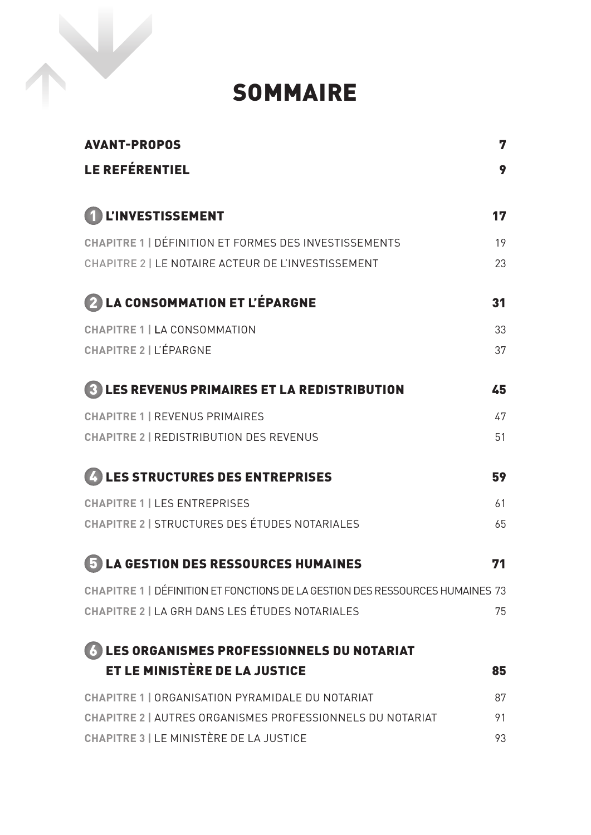## SOMMAIRE

| <b>AVANT-PROPOS</b>                                                           | 7  |
|-------------------------------------------------------------------------------|----|
| <b>LE REFÉRENTIEL</b>                                                         | 9  |
| 1 L'INVESTISSEMENT                                                            | 17 |
| CHAPITRE 1   DÉFINITION ET FORMES DES INVESTISSEMENTS                         | 19 |
| CHAPITRE 2   LE NOTAIRE ACTEUR DE L'INVESTISSEMENT                            | 23 |
| <b>2 LA CONSOMMATION ET L'ÉPARGNE</b>                                         | 31 |
| <b>CHAPITRE 1   LA CONSOMMATION</b>                                           | 33 |
| <b>CHAPITRE 2   L'ÉPARGNE</b>                                                 | 37 |
| <b>3 LES REVENUS PRIMAIRES ET LA REDISTRIBUTION</b>                           | 45 |
| <b>CHAPITRE 1   REVENUS PRIMAIRES</b>                                         | 47 |
| <b>CHAPITRE 2   REDISTRIBUTION DES REVENUS</b>                                | 51 |
| 4 LES STRUCTURES DES ENTREPRISES                                              | 59 |
| <b>CHAPITRE 1   LES ENTREPRISES</b>                                           | 61 |
| <b>CHAPITRE 2   STRUCTURES DES ÉTUDES NOTARIALES</b>                          | 65 |
| <b>LA GESTION DES RESSOURCES HUMAINES</b>                                     | 71 |
| CHAPITRE 1   DÉFINITION ET FONCTIONS DE LA GESTION DES RESSOURCES HUMAINES 73 |    |
| CHAPITRE 2   LA GRH DANS LES ÉTUDES NOTARIALES                                | 75 |
| <b>6 LES ORGANISMES PROFESSIONNELS DU NOTARIAT</b>                            |    |
| ET LE MINISTÈRE DE LA JUSTICE                                                 | 85 |
| CHAPITRE 1   ORGANISATION PYRAMIDALE DU NOTARIAT                              | 87 |
| CHAPITRE 2   AUTRES ORGANISMES PROFESSIONNELS DU NOTARIAT                     | 91 |
| <b>CHAPITRE 3   LE MINISTÈRE DE LA JUSTICE</b>                                | 93 |